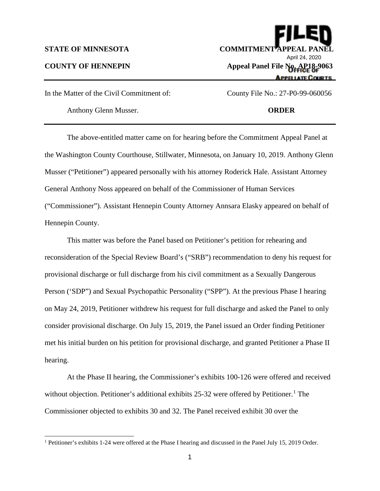$\overline{a}$ 

**STATE OF MINNESOTA COMMITMENT APPE** April 24, 2020**COUNTY OF HENNEPIN Appeal Panel File No. AP18-9063 APPE LATE COURTS** 

In the Matter of the Civil Commitment of: County File No.: 27-P0-99-060056

Anthony Glenn Musser. **ORDER** 

The above-entitled matter came on for hearing before the Commitment Appeal Panel at the Washington County Courthouse, Stillwater, Minnesota, on January 10, 2019. Anthony Glenn Musser ("Petitioner") appeared personally with his attorney Roderick Hale. Assistant Attorney General Anthony Noss appeared on behalf of the Commissioner of Human Services ("Commissioner"). Assistant Hennepin County Attorney Annsara Elasky appeared on behalf of Hennepin County.

This matter was before the Panel based on Petitioner's petition for rehearing and reconsideration of the Special Review Board's ("SRB") recommendation to deny his request for provisional discharge or full discharge from his civil commitment as a Sexually Dangerous Person ('SDP") and Sexual Psychopathic Personality ("SPP"). At the previous Phase I hearing on May 24, 2019, Petitioner withdrew his request for full discharge and asked the Panel to only consider provisional discharge. On July 15, 2019, the Panel issued an Order finding Petitioner met his initial burden on his petition for provisional discharge, and granted Petitioner a Phase II hearing.

At the Phase II hearing, the Commissioner's exhibits 100-126 were offered and received without objection. Petitioner's additional exhibits  $25-32$  were offered by Petitioner.<sup>[1](#page-0-0)</sup> The Commissioner objected to exhibits 30 and 32. The Panel received exhibit 30 over the

<span id="page-0-0"></span><sup>1</sup> Petitioner's exhibits 1-24 were offered at the Phase I hearing and discussed in the Panel July 15, 2019 Order.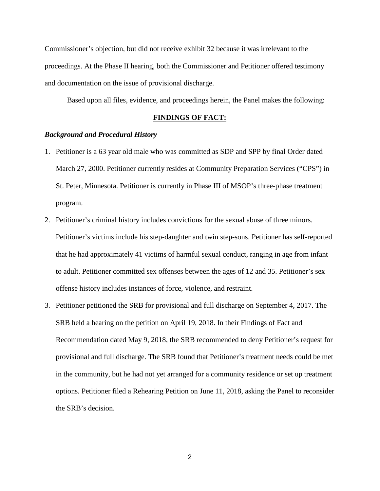Commissioner's objection, but did not receive exhibit 32 because it was irrelevant to the proceedings. At the Phase II hearing, both the Commissioner and Petitioner offered testimony and documentation on the issue of provisional discharge.

Based upon all files, evidence, and proceedings herein, the Panel makes the following:

# **FINDINGS OF FACT:**

### *Background and Procedural History*

- 1. Petitioner is a 63 year old male who was committed as SDP and SPP by final Order dated March 27, 2000. Petitioner currently resides at Community Preparation Services ("CPS") in St. Peter, Minnesota. Petitioner is currently in Phase III of MSOP's three-phase treatment program.
- 2. Petitioner's criminal history includes convictions for the sexual abuse of three minors. Petitioner's victims include his step-daughter and twin step-sons. Petitioner has self-reported that he had approximately 41 victims of harmful sexual conduct, ranging in age from infant to adult. Petitioner committed sex offenses between the ages of 12 and 35. Petitioner's sex offense history includes instances of force, violence, and restraint.
- 3. Petitioner petitioned the SRB for provisional and full discharge on September 4, 2017. The SRB held a hearing on the petition on April 19, 2018. In their Findings of Fact and Recommendation dated May 9, 2018, the SRB recommended to deny Petitioner's request for provisional and full discharge. The SRB found that Petitioner's treatment needs could be met in the community, but he had not yet arranged for a community residence or set up treatment options. Petitioner filed a Rehearing Petition on June 11, 2018, asking the Panel to reconsider the SRB's decision.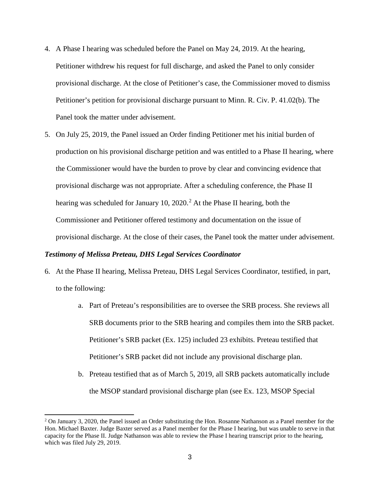- 4. A Phase I hearing was scheduled before the Panel on May 24, 2019. At the hearing, Petitioner withdrew his request for full discharge, and asked the Panel to only consider provisional discharge. At the close of Petitioner's case, the Commissioner moved to dismiss Petitioner's petition for provisional discharge pursuant to Minn. R. Civ. P. 41.02(b). The Panel took the matter under advisement.
- 5. On July 25, 2019, the Panel issued an Order finding Petitioner met his initial burden of production on his provisional discharge petition and was entitled to a Phase II hearing, where the Commissioner would have the burden to prove by clear and convincing evidence that provisional discharge was not appropriate. After a scheduling conference, the Phase II hearing was scheduled for January 10, [2](#page-2-0)020.<sup>2</sup> At the Phase II hearing, both the Commissioner and Petitioner offered testimony and documentation on the issue of provisional discharge. At the close of their cases, the Panel took the matter under advisement.

## *Testimony of Melissa Preteau, DHS Legal Services Coordinator*

 $\overline{a}$ 

- 6. At the Phase II hearing, Melissa Preteau, DHS Legal Services Coordinator, testified, in part, to the following:
	- a. Part of Preteau's responsibilities are to oversee the SRB process. She reviews all SRB documents prior to the SRB hearing and compiles them into the SRB packet. Petitioner's SRB packet (Ex. 125) included 23 exhibits. Preteau testified that Petitioner's SRB packet did not include any provisional discharge plan.
	- b. Preteau testified that as of March 5, 2019, all SRB packets automatically include the MSOP standard provisional discharge plan (see Ex. 123, MSOP Special

<span id="page-2-0"></span><sup>&</sup>lt;sup>2</sup> On January 3, 2020, the Panel issued an Order substituting the Hon. Rosanne Nathanson as a Panel member for the Hon. Michael Baxter. Judge Baxter served as a Panel member for the Phase I hearing, but was unable to serve in that capacity for the Phase II. Judge Nathanson was able to review the Phase I hearing transcript prior to the hearing, which was filed July 29, 2019.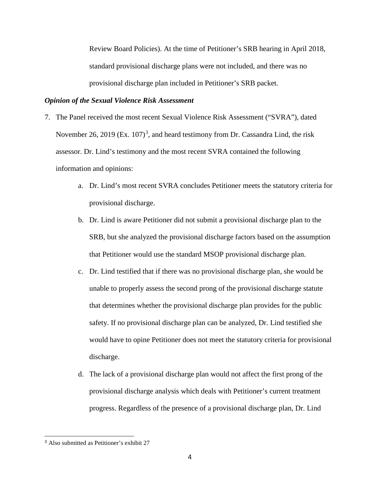Review Board Policies). At the time of Petitioner's SRB hearing in April 2018, standard provisional discharge plans were not included, and there was no provisional discharge plan included in Petitioner's SRB packet.

## *Opinion of the Sexual Violence Risk Assessment*

- 7. The Panel received the most recent Sexual Violence Risk Assessment ("SVRA"), dated November 26, 2019 (Ex.  $107$ )<sup>[3](#page-3-0)</sup>, and heard testimony from Dr. Cassandra Lind, the risk assessor. Dr. Lind's testimony and the most recent SVRA contained the following information and opinions:
	- a. Dr. Lind's most recent SVRA concludes Petitioner meets the statutory criteria for provisional discharge.
	- b. Dr. Lind is aware Petitioner did not submit a provisional discharge plan to the SRB, but she analyzed the provisional discharge factors based on the assumption that Petitioner would use the standard MSOP provisional discharge plan.
	- c. Dr. Lind testified that if there was no provisional discharge plan, she would be unable to properly assess the second prong of the provisional discharge statute that determines whether the provisional discharge plan provides for the public safety. If no provisional discharge plan can be analyzed, Dr. Lind testified she would have to opine Petitioner does not meet the statutory criteria for provisional discharge.
	- d. The lack of a provisional discharge plan would not affect the first prong of the provisional discharge analysis which deals with Petitioner's current treatment progress. Regardless of the presence of a provisional discharge plan, Dr. Lind

<span id="page-3-0"></span> <sup>3</sup> Also submitted as Petitioner's exhibit 27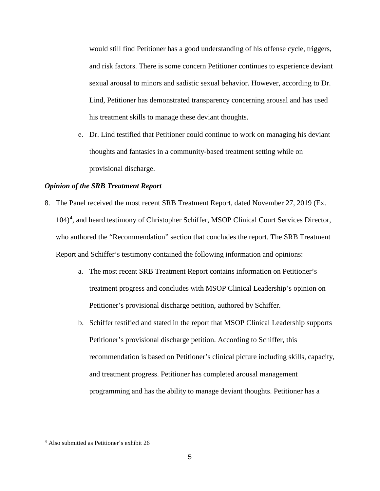would still find Petitioner has a good understanding of his offense cycle, triggers, and risk factors. There is some concern Petitioner continues to experience deviant sexual arousal to minors and sadistic sexual behavior. However, according to Dr. Lind, Petitioner has demonstrated transparency concerning arousal and has used his treatment skills to manage these deviant thoughts.

e. Dr. Lind testified that Petitioner could continue to work on managing his deviant thoughts and fantasies in a community-based treatment setting while on provisional discharge.

## *Opinion of the SRB Treatment Report*

- 8. The Panel received the most recent SRB Treatment Report, dated November 27, 2019 (Ex. 10[4](#page-4-0))<sup>4</sup>, and heard testimony of Christopher Schiffer, MSOP Clinical Court Services Director, who authored the "Recommendation" section that concludes the report. The SRB Treatment Report and Schiffer's testimony contained the following information and opinions:
	- a. The most recent SRB Treatment Report contains information on Petitioner's treatment progress and concludes with MSOP Clinical Leadership's opinion on Petitioner's provisional discharge petition, authored by Schiffer.
	- b. Schiffer testified and stated in the report that MSOP Clinical Leadership supports Petitioner's provisional discharge petition. According to Schiffer, this recommendation is based on Petitioner's clinical picture including skills, capacity, and treatment progress. Petitioner has completed arousal management programming and has the ability to manage deviant thoughts. Petitioner has a

<span id="page-4-0"></span> <sup>4</sup> Also submitted as Petitioner's exhibit 26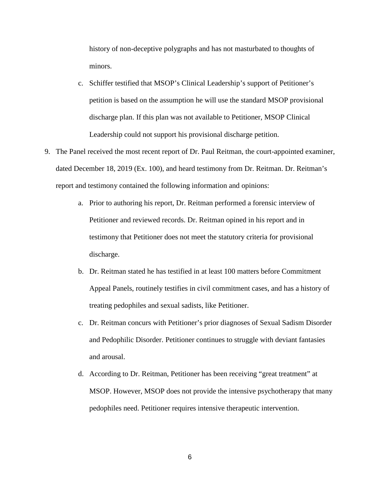history of non-deceptive polygraphs and has not masturbated to thoughts of minors.

- c. Schiffer testified that MSOP's Clinical Leadership's support of Petitioner's petition is based on the assumption he will use the standard MSOP provisional discharge plan. If this plan was not available to Petitioner, MSOP Clinical Leadership could not support his provisional discharge petition.
- 9. The Panel received the most recent report of Dr. Paul Reitman, the court-appointed examiner, dated December 18, 2019 (Ex. 100), and heard testimony from Dr. Reitman. Dr. Reitman's report and testimony contained the following information and opinions:
	- a. Prior to authoring his report, Dr. Reitman performed a forensic interview of Petitioner and reviewed records. Dr. Reitman opined in his report and in testimony that Petitioner does not meet the statutory criteria for provisional discharge.
	- b. Dr. Reitman stated he has testified in at least 100 matters before Commitment Appeal Panels, routinely testifies in civil commitment cases, and has a history of treating pedophiles and sexual sadists, like Petitioner.
	- c. Dr. Reitman concurs with Petitioner's prior diagnoses of Sexual Sadism Disorder and Pedophilic Disorder. Petitioner continues to struggle with deviant fantasies and arousal.
	- d. According to Dr. Reitman, Petitioner has been receiving "great treatment" at MSOP. However, MSOP does not provide the intensive psychotherapy that many pedophiles need. Petitioner requires intensive therapeutic intervention.

6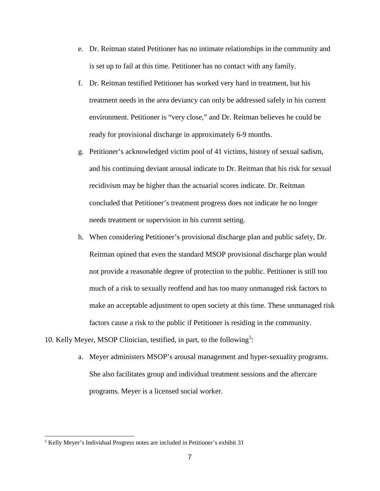- e. Dr. Reitman stated Petitioner has no intimate relationships in the community and is set up to fail at this time. Petitioner has no contact with any family.
- f. Dr. Reitman testified Petitioner has worked very hard in treatment, but his treatment needs in the area deviancy can only be addressed safely in his current environment. Petitioner is "very close," and Dr. Reitman believes he could be ready for provisional discharge in approximately 6-9 months.
- g. Petitioner's acknowledged victim pool of 41 victims, history of sexual sadism, and his continuing deviant arousal indicate to Dr. Reitman that his risk for sexual recidivism may be higher than the actuarial scores indicate. Dr. Reitman concluded that Petitioner's treatment progress does not indicate he no longer needs treatment or supervision in his current setting.
- h. When considering Petitioner's provisional discharge plan and public safety, Dr. Reitman opined that even the standard MSOP provisional discharge plan would not provide a reasonable degree of protection to the public. Petitioner is still too much of a risk to sexually reoffend and has too many unmanaged risk factors to make an acceptable adjustment to open society at this time. These unmanaged risk factors cause a risk to the public if Petitioner is residing in the community.
- 10. Kelly Meyer, MSOP Clinician, testified, in part, to the following<sup>[5](#page-6-0)</sup>:
	- a. Meyer administers MSOP's arousal management and hyper-sexuality programs. She also facilitates group and individual treatment sessions and the aftercare programs. Meyer is a licensed social worker.

 $\overline{a}$ 

<span id="page-6-0"></span><sup>5</sup> Kelly Meyer's Individual Progress notes are included in Petitioner's exhibit 31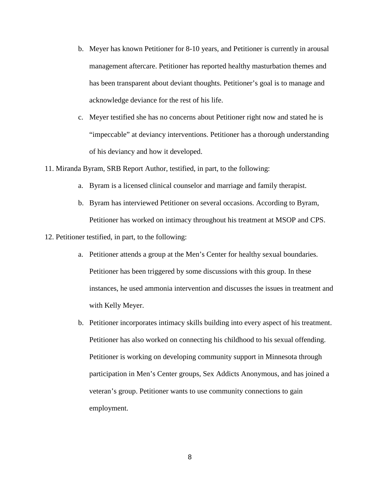- b. Meyer has known Petitioner for 8-10 years, and Petitioner is currently in arousal management aftercare. Petitioner has reported healthy masturbation themes and has been transparent about deviant thoughts. Petitioner's goal is to manage and acknowledge deviance for the rest of his life.
- c. Meyer testified she has no concerns about Petitioner right now and stated he is "impeccable" at deviancy interventions. Petitioner has a thorough understanding of his deviancy and how it developed.
- 11. Miranda Byram, SRB Report Author, testified, in part, to the following:
	- a. Byram is a licensed clinical counselor and marriage and family therapist.
	- b. Byram has interviewed Petitioner on several occasions. According to Byram, Petitioner has worked on intimacy throughout his treatment at MSOP and CPS.

12. Petitioner testified, in part, to the following:

- a. Petitioner attends a group at the Men's Center for healthy sexual boundaries. Petitioner has been triggered by some discussions with this group. In these instances, he used ammonia intervention and discusses the issues in treatment and with Kelly Meyer.
- b. Petitioner incorporates intimacy skills building into every aspect of his treatment. Petitioner has also worked on connecting his childhood to his sexual offending. Petitioner is working on developing community support in Minnesota through participation in Men's Center groups, Sex Addicts Anonymous, and has joined a veteran's group. Petitioner wants to use community connections to gain employment.

8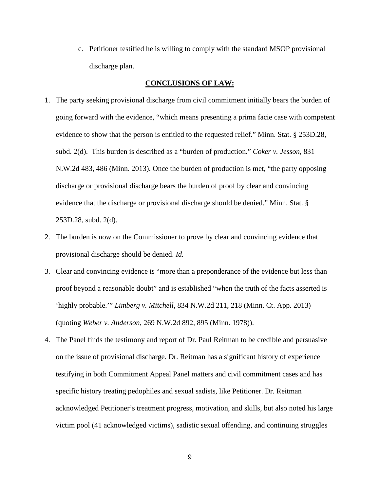c. Petitioner testified he is willing to comply with the standard MSOP provisional discharge plan.

## **CONCLUSIONS OF LAW:**

- 1. The party seeking provisional discharge from civil commitment initially bears the burden of going forward with the evidence, "which means presenting a prima facie case with competent evidence to show that the person is entitled to the requested relief." Minn. Stat. § 253D.28, subd. 2(d). This burden is described as a "burden of production*.*" *Coker v. Jesson*, 831 N.W.2d 483, 486 (Minn. 2013). Once the burden of production is met, "the party opposing discharge or provisional discharge bears the burden of proof by clear and convincing evidence that the discharge or provisional discharge should be denied." Minn. Stat. § 253D.28, subd. 2(d).
- 2. The burden is now on the Commissioner to prove by clear and convincing evidence that provisional discharge should be denied. *Id.*
- 3. Clear and convincing evidence is "more than a preponderance of the evidence but less than proof beyond a reasonable doubt" and is established "when the truth of the facts asserted is 'highly probable.'" *Limberg v. Mitchell*, 834 N.W.2d 211, 218 (Minn. Ct. App. 2013) (quoting *Weber v. Anderson*, 269 N.W.2d 892, 895 (Minn. 1978)).
- 4. The Panel finds the testimony and report of Dr. Paul Reitman to be credible and persuasive on the issue of provisional discharge. Dr. Reitman has a significant history of experience testifying in both Commitment Appeal Panel matters and civil commitment cases and has specific history treating pedophiles and sexual sadists, like Petitioner. Dr. Reitman acknowledged Petitioner's treatment progress, motivation, and skills, but also noted his large victim pool (41 acknowledged victims), sadistic sexual offending, and continuing struggles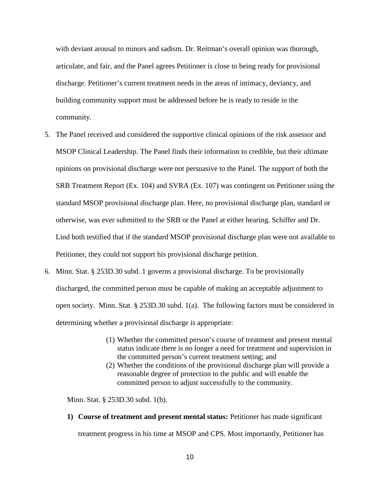with deviant arousal to minors and sadism. Dr. Reitman's overall opinion was thorough, articulate, and fair, and the Panel agrees Petitioner is close to being ready for provisional discharge. Petitioner's current treatment needs in the areas of intimacy, deviancy, and building community support must be addressed before he is ready to reside in the community.

- 5. The Panel received and considered the supportive clinical opinions of the risk assessor and MSOP Clinical Leadership. The Panel finds their information to credible, but their ultimate opinions on provisional discharge were not persuasive to the Panel. The support of both the SRB Treatment Report (Ex. 104) and SVRA (Ex. 107) was contingent on Petitioner using the standard MSOP provisional discharge plan. Here, no provisional discharge plan, standard or otherwise, was ever submitted to the SRB or the Panel at either hearing. Schiffer and Dr. Lind both testified that if the standard MSOP provisional discharge plan were not available to Petitioner, they could not support his provisional discharge petition.
- 6. Minn. Stat. § 253D.30 subd. 1 governs a provisional discharge. To be provisionally discharged, the committed person must be capable of making an acceptable adjustment to open society. Minn. Stat. § 253D.30 subd. 1(a). The following factors must be considered in determining whether a provisional discharge is appropriate:
	- (1) Whether the committed person's course of treatment and present mental status indicate there is no longer a need for treatment and supervision in the committed person's current treatment setting; and
	- (2) Whether the conditions of the provisional discharge plan will provide a reasonable degree of protection to the public and will enable the committed person to adjust successfully to the community.

Minn. Stat. § 253D.30 subd. 1(b).

**1) Course of treatment and present mental status:** Petitioner has made significant treatment progress in his time at MSOP and CPS. Most importantly, Petitioner has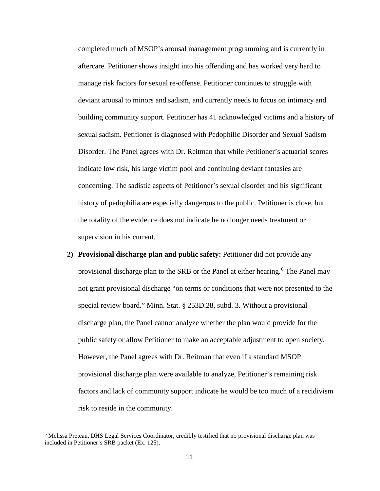completed much of MSOP's arousal management programming and is currently in aftercare. Petitioner shows insight into his offending and has worked very hard to manage risk factors for sexual re-offense. Petitioner continues to struggle with deviant arousal to minors and sadism, and currently needs to focus on intimacy and building community support. Petitioner has 41 acknowledged victims and a history of sexual sadism. Petitioner is diagnosed with Pedophilic Disorder and Sexual Sadism Disorder. The Panel agrees with Dr. Reitman that while Petitioner's actuarial scores indicate low risk, his large victim pool and continuing deviant fantasies are concerning. The sadistic aspects of Petitioner's sexual disorder and his significant history of pedophilia are especially dangerous to the public. Petitioner is close, but the totality of the evidence does not indicate he no longer needs treatment or supervision in his current.

**2) Provisional discharge plan and public safety:** Petitioner did not provide any provisional discharge plan to the SRB or the Panel at either hearing.<sup>[6](#page-10-0)</sup> The Panel may not grant provisional discharge "on terms or conditions that were not presented to the special review board." Minn. Stat. § 253D.28, subd. 3. Without a provisional discharge plan, the Panel cannot analyze whether the plan would provide for the public safety or allow Petitioner to make an acceptable adjustment to open society. However, the Panel agrees with Dr. Reitman that even if a standard MSOP provisional discharge plan were available to analyze, Petitioner's remaining risk factors and lack of community support indicate he would be too much of a recidivism risk to reside in the community.

 $\overline{a}$ 

<span id="page-10-0"></span><sup>6</sup> Melissa Preteau, DHS Legal Services Coordinator, credibly testified that no provisional discharge plan was included in Petitioner's SRB packet (Ex. 125).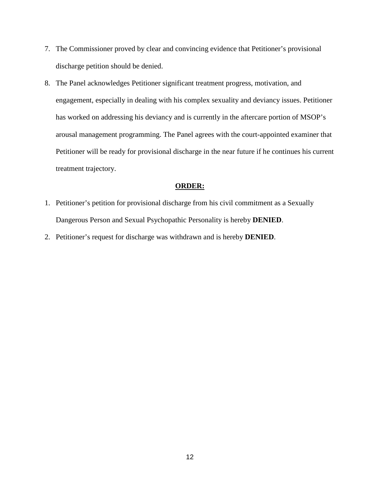- 7. The Commissioner proved by clear and convincing evidence that Petitioner's provisional discharge petition should be denied.
- 8. The Panel acknowledges Petitioner significant treatment progress, motivation, and engagement, especially in dealing with his complex sexuality and deviancy issues. Petitioner has worked on addressing his deviancy and is currently in the aftercare portion of MSOP's arousal management programming. The Panel agrees with the court-appointed examiner that Petitioner will be ready for provisional discharge in the near future if he continues his current treatment trajectory.

## **ORDER:**

- 1. Petitioner's petition for provisional discharge from his civil commitment as a Sexually Dangerous Person and Sexual Psychopathic Personality is hereby **DENIED**.
- 2. Petitioner's request for discharge was withdrawn and is hereby **DENIED**.